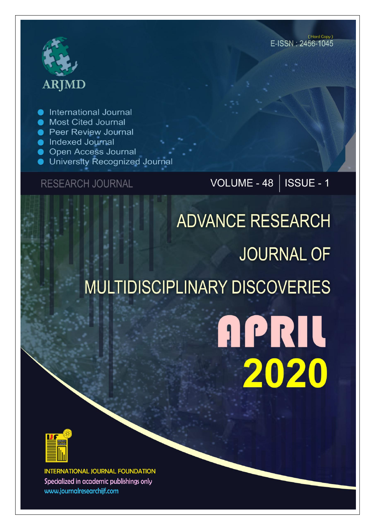# **ARJMD**

**International Journal** 

- **Most Cited Journal**
- **Peer Review Journal**
- lndexed Journal
- **Open Access Journal**
- University Recognized Journal

### **RESEARCH JOURNAL**

## VOLUME - 48 | ISSUE - 1

## **ADVANCE RESEARCH JOURNAL OF MULTIDISCIPLINARY DISCOVERIES**

## **APRIL** 2020



**INTERNATIONAL JOURNAL FOUNDATION** Specialized in academic publishings only www.journalresearchijf.com

(Hard Copy) E-ISSN: 2456-1045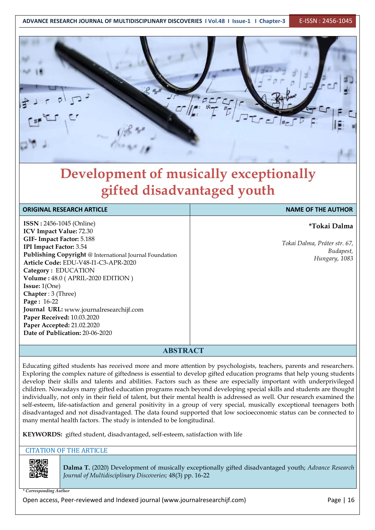

## **Development of musically exceptionally gifted disadvantaged youth**

| <b>ORIGINAL RESEARCH ARTICLE</b>                                                                                                                                                                                                                                                                                                                                                                                                                                                           | <b>NAME OF THE AUTHOR</b>                                                  |  |
|--------------------------------------------------------------------------------------------------------------------------------------------------------------------------------------------------------------------------------------------------------------------------------------------------------------------------------------------------------------------------------------------------------------------------------------------------------------------------------------------|----------------------------------------------------------------------------|--|
| <b>ISSN</b> : 2456-1045 (Online)<br>ICV Impact Value: 72.30<br>GIF-Impact Factor: 5.188<br>IPI Impact Factor: 3.54<br>Publishing Copyright @ International Journal Foundation<br>Article Code: EDU-V48-I1-C3-APR-2020<br>Category: EDUCATION<br>Volume: 48.0 (APRIL-2020 EDITION)<br><b>Issue:</b> $1(One)$<br>Chapter: 3 (Three)<br>Page: 16-22<br>Journal URL: www.journalresearchijf.com<br>Paper Received: 10.03.2020<br>Paper Accepted: 21.02.2020<br>Date of Publication: 20-06-2020 | *Tokai Dalma<br>Tokai Dalma, Práter str. 67,<br>Budapest,<br>Hungary, 1083 |  |
|                                                                                                                                                                                                                                                                                                                                                                                                                                                                                            |                                                                            |  |

#### **ABSTRACT**

Educating gifted students has received more and more attention by psychologists, teachers, parents and researchers. Exploring the complex nature of giftedness is essential to develop gifted education programs that help young students develop their skills and talents and abilities. Factors such as these are especially important with underprivileged children. Nowadays many gifted education programs reach beyond developing special skills and students are thought individually, not only in their field of talent, but their mental health is addressed as well. Our research examined the self-esteem, life-satisfaction and general positivity in a group of very special, musically exceptional teenagers both disadvantaged and not disadvantaged. The data found supported that low socioeconomic status can be connected to many mental health factors. The study is intended to be longitudinal.

**KEYWORDS:** gifted student, disadvantaged, self-esteem, satisfaction with life

#### CITATION OF THE ARTICLE



**Dalma T.** (2020) Development of musically exceptionally gifted disadvantaged youth; *Advance Research Journal of Multidisciplinary Discoveries;* 48(3) pp. 16-22

*\* Corresponding Author*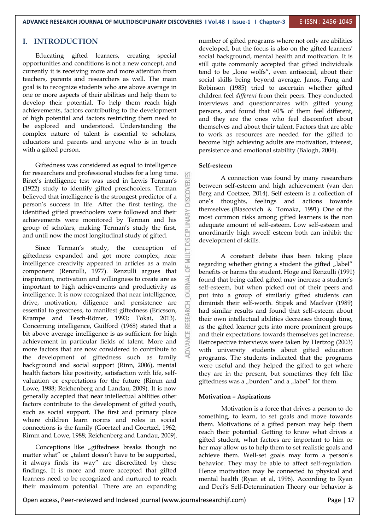#### **I. INTRODUCTION**

Educating gifted learners, creating special opportunities and conditions is not a new concept, and currently it is receiving more and more attention from teachers, parents and researchers as well. The main goal is to recognize students who are above average in one or more aspects of their abilities and help them to develop their potential. To help them reach high achievements, factors contributing to the development of high potential and factors restricting them need to be explored and understood. Understanding the complex nature of talent is essential to scholars, educators and parents and anyone who is in touch with a gifted person.

Giftedness was considered as equal to intelligence for researchers and professional studies for a long time.<br>Binet's intelligence test was used in Lewis Terman's<br>(1922) study to identify gifted preschoolers. Terman<br>believed that intelligence is the strongest predictor of a (1922) study to identify gifted preschoolers. Terman believed that intelligence is the strongest predictor of a person's success in life. After the first testing, the identified gifted preschoolers were followed and their achievements were monitored by Terman and his group of scholars, making Terman's study the first, identified gifted preschoolers were followed and their achievements were monitored by Terman and his group of scholars, making Terman's study the first,<br>and until now the most longitudinal study of gifted. and until now the most longitudinal study of gifted.

Since Terman's study, the conception of giftedness expanded and got more complex, near intelligence creativity appeared in articles as a main  $\frac{2}{\omega}$ <br>component (Renzulli 1977) Renzulli arques that component (Renzulli, 1977). Renzulli argues that inspiration, motivation and willingness to create are as important to high achievements and productivity as intelligence. It is now recognized that near intelligence, important to high achievements and productivity as intelligence. It is now recognized that near intelligence, drive, motivation, diligence and persistence are essential to greatness, to manifest giftedness (Ericsson, Krampe and Tesch-Römer, 1993; Tokai, 2013). Concerning intelligence, Guilford (1968) stated that a essential to greatness, to manifest giftedness (Ericsson, Krampe and Tesch-Römer, 1993; Tokai, 2013). Concerning intelligence, Guilford (1968) stated that a bit above average intelligence is as sufficient for high achievement in particular fields of talent. More and more factors that are now considered to contribute to the development of giftedness such as family background and social support (Rinn, 2006), mental health factors like positivity, satisfaction with life, self valuation or expectations for the future (Rimm and Lowe, 1988; Reichenberg and Landau, 2009). It is now generally accepted that near intellectual abilities other factors contribute to the development of gifted youth, such as social support. The first and primary place where children learn norms and roles in social connections is the family (Goertzel and Goertzel, 1962; Rimm and Lowe, 1988; Reichenberg and Landau, 2009).

Conceptions like "giftedness breaks though no matter what" or "talent doesn't have to be supported, it always finds its way" are discredited by these findings. It is more and more accepted that gifted learners need to be recognized and nurtured to reach their maximum potential. There are an expanding

number of gifted programs where not only are abilities developed, but the focus is also on the gifted learners' social background, mental health and motivation. It is still quite commonly accepted that gifted individuals tend to be  $n$ lone wolfs", even antisocial, about their social skills being beyond average. Janos, Fung and Robinson (1985) tried to ascertain whether gifted children feel *different* from their peers. They conducted interviews and questionnaires with gifted young persons, and found that 40% of them feel different, and they are the ones who feel discomfort about themselves and about their talent. Factors that are able to work as resources are needed for the gifted to become high achieving adults are motivation, interest, persistence and emotional stability (Balogh, 2004).

#### **Self-esteem**

A connection was found by many researchers between self-esteem and high achievement (van den Berg and Coetzee, 2014). Self esteem is a collection of one's thoughts, feelings and actions towards themselves (Blascovich & Tomaka, 1991). One of the most common risks among gifted learners is the non adequate amount of self-esteem. Low self-esteem and unordinarily high sweelf esteem both can inhibit the development of skills.

A constant debate ihas been taking place regarding whether giving a student the gifted "label" benefits or harms the student. Hoge and Renzulli (1991) found that being called gifted may increase a student's self-esteem, but when picked out of their peers and put into a group of similarly gifted students can diminish their self-worth. Stipek and MacIver (1989) had similar results and found that self-esteem about their own intellectual abilities decreases through time, as the gifted learner gets into more prominent groups and their expectations towards themselves get increase. Retrospective interviews were taken by Hertzog (2003) with university students about gifted education programs. The students indicated that the programs were useful and they helped the gifted to get where they are in the present, but sometimes they felt like giftedness was a "burden" and a "label" for them.

#### **Motivation – Aspirations**

Motivation is a force that drives a person to do something, to learn, to set goals and move towards them. Motivations of a gifted person may help them reach their potential. Getting to know what drives a gifted student, what factors are important to him or her may allow us to help them to set realistic goals and achieve them. Well-set goals may form a person's behavior. They may be able to affect self-regulation. Hence motivation may be connected to physical and mental health (Ryan et al, 1996). According to Ryan and Deci's Self-Determination Theory our behavior is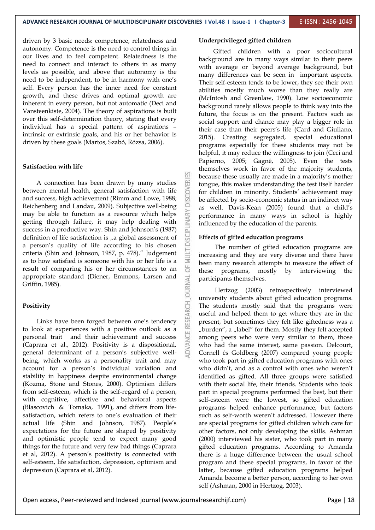업

driven by 3 basic needs: competence, relatedness and autonomy. Competence is the need to control things in our lives and to feel competent. Relatedness is the need to connect and interact to others in as many levels as possible, and above that autonomy is the need to be independent, to be in harmony with one's self. Every person has the inner need for constant growth, and these drives and optimal growth are inherent in every person, but not automatic (Deci and Vansteenkiste, 2004). The theory of aspirations is built over this self-determination theory, stating that every individual has a special pattern of aspirations – intrinsic or extrinsic goals, and his or her behavior is driven by these goals (Martos, Szabó, Rózsa, 2006).

#### **Satisfaction with life**

A connection has been drawn by many studies<br>
een mental health, general satisfaction with life<br>
success, high achievement (Rimm and Lowe, 1988; between mental health, general satisfaction with life and success, high achievement (Rimm and Lowe, 1988; Reichenberg and Landau, 2009). Subjective well-being may be able to function as a resource which helps getting through failure, it may help dealing with success in a productive way. Shin and Johnson's (1987) definition of life satisfaction is "a global assessment of definition of life satisfaction is "a global assessment of a person's quality of life according to his chosen criteria (Shin and Johnson, 1987, p. 478)." Judgement as to how satisfied is someone with his or her life is a result of comparing his or her circumstances to an appropriate standard (Diener, Emmons, Larsen and<br>Griffin, 1985).<br>**Positivity**<br>Links have been forged between one's tendency<br>to look at auxaniances with a positive authority of the Griffin, 1985).

#### **Positivity**

Links have been forged between one's tendency to look at experiences with a positive outlook as a personal trait and their achievement and success (Caprara et al., 2012). Positivity is a dispositional, general determinant of a person's subjective well being, which works as a personality trait and may account for a person's individual variation and stability in happiness despite environmental change (Kozma, Stone and Stones, 2000). Optimism differs from self-esteem, which is the self-regard of a person, with cognitive, affective and behavioral aspects (Blascovich & Tomaka, 1991), and differs from life satisfaction, which refers to one's evaluation of their actual life (Shin and Johnson, 1987). People's expectations for the future are shaped by positivity and optimistic people tend to expect many good things for the future and very few bad things (Caprara et al, 2012). A person's positivity is connected with self-esteem, life satisfaction, depression, optimism and depression (Caprara et al, 2012).

#### **Underprivileged gifted children**

Gifted children with a poor sociocultural background are in many ways similar to their peers with average or beyond average background, but many differences can be seen in important aspects. Their self-esteem tends to be lower, they see their own abilities mostly much worse than they really are (McIntosh and Greenlaw, 1990). Low socioeconomic background rarely allows people to think way into the future, the focus is on the present. Factors such as social support and chance may play a bigger role in their case than their peers's life (Card and Giuliano, 2015). Creating segregated, special educational programs especially for these students may not be helpful, it may reduce the willingness to join (Ceci and Papierno, 2005; Gagné, 2005). Even the tests themselves work in favor of the majority students, because these usually are made in a majority's mother tongue, this makes understanding the test itself harder for children in minority. Students' achievement may be affected by socio-economic status in an indirect way as well. Davis-Kean (2005) found that a child's performance in many ways in school is highly influenced by the education of the parents.

#### **Effects of gifted education programs**

The number of gifted education programs are increasing and they are very diverse and there have been many research attempts to measure the effect of these programs, mostly by interviewing the participants themselves.

Hertzog (2003) retrospectively interviewed university students about gifted education programs. The students mostly said that the programs were useful and helped them to get where they are in the present, but sometimes they felt like giftedness was a "burden", a "label" for them. Mostly they felt accepted among peers who were very similar to them, those who had the same interest, same passion. Delcourt, Cornell és Goldberg (2007) compared young people who took part in gifted education programs with ones who didn't, and as a control with ones who weren't identified as gifted. All three groups were satisfied with their social life, their friends. Students who took part in special programs performed the best, but their self-esteem were the lowest, so gifted education programs helped enhance performance, but factors such as self-worth weren't addressed. However there are special programs for gifted children which care for other factors, not only developing the skills. Ashman (2000) interviewed his sister, who took part in many gifted education programs. According to Amanda there is a huge difference between the usual school program and these special programs, in favor of the latter, because gifted education programs helped Amanda become a better person, according to her own self (Ashman, 2000 in Hertzog, 2003).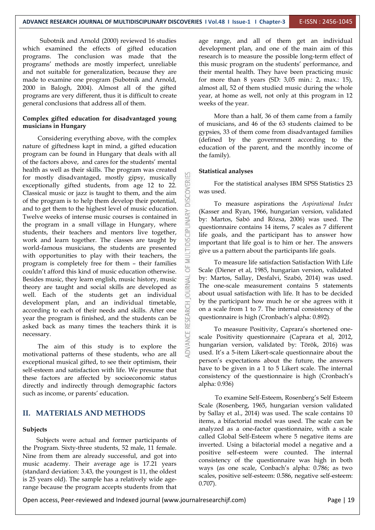Subotnik and Arnold (2000) reviewed 16 studies which examined the effects of gifted education programs. The conclusion was made that the programs' methods are mostly imperfect, unreliable and not suitable for generalization, because they are made to examine one program (Subotnik and Arnold,2000 in Balogh, 2004). Almost all of the gifted programs are very different, thus it is difficult to create general conclusions that address all of them.

#### **Complex gifted education for disadvantaged young musicians in Hungary**

Considering everything above, with the complex nature of giftedness kapt in mind, a gifted education program can be found in Hungary that deals with all of the factors above, and cares for the students' mental health as well as their skills. The program was created for mostly disadvantaged, mostly gipsy, musically exceptionally gifted students, from age 12 to 22. Classical music or jazz is taught to them, and the aim of the program is to help them develop their potential, Classical music or jazz is taught to them, and the aim of the program is to help them develop their potential, and to get them to the highest level of music education.<br>Twelve weeks of intense music courses is contained in<br>the program in a small village in Hungary, where<br>students, their teachers and mentors live together,<br>work and l Twelve weeks of intense music courses is contained in the program in a small village in Hungary, where students, their teachers and mentors live together, work and learn together. The classes are taught by world-famous musicians, the students are presented with opportunities to play with their teachers, the program is completely free for them – their families  $\frac{1}{2}$ <br>couldn't afford this kind of music education otherwise couldn't afford this kind of music education otherwise. Besides music, they learn english, music history, music theory are taught and social skills are developed as well. Each of the students get an individual development plan, and an individual timetable,  $\frac{11}{10}$  according to each of their needs and skills. After one year the program is finished, and the students can be asked back as many times the teachers think it is according to each of their needs and skills. After one year the program is finished, and the students can be asked back as many times the teachers think it is necessary.

The aim of this study is to explore the motivational patterns of these students, who are all exceptional musical gifted, to see their optimism, their self-esteem and satisfaction with life. We presume that these factors are affected by socioeconomic status directly and indirectly through demographic factors such as income, or parents' education.

#### **II. MATERIALS AND METHODS**

#### **Subjects**

Subjects were actual and former participants of the Program. Sixty-three students, 52 male, 11 female. Nine from them are already successful, and got into music academy. Their average age is 17.21 years (standard deviation: 3.43, the youngest is 11, the oldest is 25 years old). The sample has a relatively wide age range because the program accepts students from that age range, and all of them get an individual development plan, and one of the main aim of this research is to measure the possible long-term effect of this music program on the students' performance, and their mental health. They have been practicing music for more than 8 years (SD: 3,05 min.: 2, max.: 15), almost all, 52 of them studied music during the whole year, at home as well, not only at this program in 12 weeks of the year.

More than a half, 36 of them came from a family of musicians, and 46 of the 63 students claimed tobe gypsies, 33 of them come from disadvantaged families (defined by the government according to the education of the parent, and the monthly income of the family).

#### **Statistical analyses**

For the statistical analyses IBM SPSS Statistics 23 was used.

To measure aspirations the *Aspirational Index* (Kasser and Ryan, 1966, hungarian version, validated by: Martos, Sabó and Rózsa, 2006) was used. The questionnaire contains 14 items, 7 scales as 7 different life goals, and the participant has to answer how important that life goal is to him or her. The answers give us a pattern about the participants life goals.

To measure life satisfaction Satisfaction With Life Scale (Diener et al,1985, hungarian version, validated by: Martos, Sallay, Desfalvi, Szabó, 2014) was used. The one-scale measurement contains 5 statements about usual satisfaction with life. It has to be decided by the participant how much he or she agrees with it on a scale from 1 to 7. The internal consistency of the questionnaire is high (Cronbach's alpha: 0.892).

To measure Positivity, Caprara's shortened one scale Positivity questionnaire (Caprara et al, 2012, hungarian version, validated by: Török, 2016) was used. It's a 5-item Likert-scale questionnaire about the person's expectations about the future, the answers have to be given in a 1 to 5 Likert scale. The internal consistency of the questionnaire is high (Cronbach's alpha: 0.936)

To examine Self-Esteem, Rosenberg's Self Esteem Scale (Rosenberg, 1965, hungarian version validated by Sallay et al., 2014) was used. The scale contains 10 items, a bifactorial model was used. The scale can be analyzed as a one-factor questionnaire, with a scale called Global Self-Esteem where 5 negative items are inverted. Using a bifactorial model a negative and a positive self-esteem were counted. The internal consistency of the questionnaire was high in both ways (as one scale, Conbach's alpha:0.786; as two scales, positive self-esteem: 0.586, negative self-esteem: 0.707).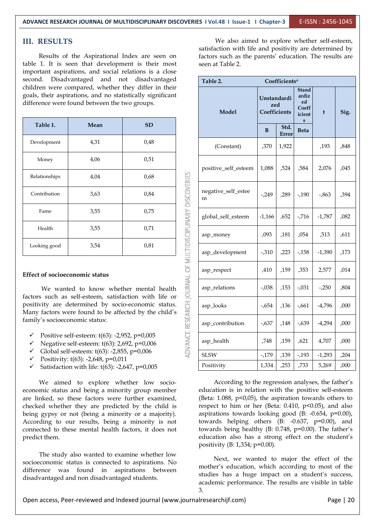#### **III. RESULTS**

Results of the Aspirational Index are seen on table 1. It is seen that development is their most important aspirations, and social relations is a close second. Disadvantaged and not disadvantaged children were compared, whether they differ in their goals, their aspirations, and no statistically significant difference were found between the two groups.

| Table 1.                              | Mean                                                                                                                                                                   | <b>SD</b> |                                                      |                       |
|---------------------------------------|------------------------------------------------------------------------------------------------------------------------------------------------------------------------|-----------|------------------------------------------------------|-----------------------|
| Development                           | 4,31                                                                                                                                                                   | 0,48      |                                                      | (Constant)            |
| Money                                 | 4,06                                                                                                                                                                   | 0,51      |                                                      |                       |
| Relationships                         | 4,04                                                                                                                                                                   | 0,68      |                                                      | positive_self_est     |
| Contribution                          | 3,63                                                                                                                                                                   | 0,84      |                                                      | negative_self_es<br>m |
| Fame                                  | 3,55                                                                                                                                                                   | 0,75      |                                                      | global_self_estee     |
| Health                                | 3,55                                                                                                                                                                   | 0,71      |                                                      | asp_money             |
| Looking good                          | 3,54                                                                                                                                                                   | 0,81      |                                                      | asp_developmer        |
| <b>Effect of socioeconomic status</b> |                                                                                                                                                                        |           | CE RESEARCH JOURNAL OF MULTIDISCIPLINARY DISCOVERIES | asp_respect           |
|                                       | We wanted to know whether mental health                                                                                                                                |           |                                                      | asp_relations         |
|                                       | factors such as self-esteem, satisfaction with life or<br>positivity are determined by socio-economic status.<br>Many factors were found to be affected by the child's |           |                                                      | asp_looks             |
| family's socioeconomic status:        |                                                                                                                                                                        |           |                                                      | asp_contribution      |
| ✓                                     | Positive self-esteem: $t(63)$ : -2,952, p=0,005<br>Negative self-esteem: t(63): 2,692, p=0,006                                                                         |           |                                                      | asp_health            |
| ✓                                     | Global self-esteem: t(63): -2,855, p=0,006                                                                                                                             |           |                                                      | <b>SLSW</b>           |

#### **Effect of socioeconomic status**

- Positive self-esteem: t(63): -2,952, p=0,005
- $\checkmark$  Negative self-esteem: t(63): 2,692, p=0,006
- Global self-esteem:  $t(63)$ : -2,855, p=0,006
- $\checkmark$  Positivity: t(63): -2,648, p=0,011
- Satisfaction with life: t(63): -2,647, p=0,005

We aimed to explore whether low socio economic status and being a minority group member are linked, so these factors were further examined, checked whether they are predicted by the child is being gypsy or not (being a minority or a majority).<br>According to our results, being a minority is not connected to these mental health factors, it does not predict them.

The study also wanted to examine whether low socioeconomic status is connected to aspirations. No difference was found in aspirations between disadvantaged and non disadvantaged students.

We also aimed to explore whether self-esteem, satisfaction with life and positivity are determined by factors such as the parents' education. The results are seen at Table 2.

| Table 2.<br>Coefficients <sup>a</sup> |                                    |                      |                                                                |          |      |
|---------------------------------------|------------------------------------|----------------------|----------------------------------------------------------------|----------|------|
| Model                                 | Unstandardi<br>zed<br>Coefficients |                      | <b>Stand</b><br>ardiz<br>ed<br>Coeff<br>icient<br>$\mathbf{s}$ | t        | Sig. |
|                                       | B                                  | Std.<br><b>Error</b> | <b>Beta</b>                                                    |          |      |
| (Constant)                            | ,370                               | 1,922                |                                                                | ,193     | ,848 |
| positive_self_esteem                  | 1,088                              | ,524                 | ,584                                                           | 2,076    | ,045 |
| negative_self_estee<br>m              | $-249$                             | ,289                 | $-190$                                                         | $-0.863$ | ,394 |
| global_self_esteem                    | $-1,166$                           | ,652                 | $-7.716$                                                       | $-1,787$ | ,082 |
| asp_money                             | ,093                               | ,181                 | ,054                                                           | ,513     | ,611 |
| asp_development                       | $-0.310$                           | ,223                 | $-158$                                                         | $-1,390$ | ,173 |
| asp_respect                           | ,410                               | ,159                 | ,353                                                           | 2,577    | ,014 |
| asp_relations                         | $-.038$                            | ,153                 | $-.031$                                                        | $-250$   | ,804 |
| asp_looks                             | $-654$                             | ,136                 | $-661$                                                         | $-4,796$ | ,000 |
| asp_contribution                      | $-637$                             | ,148                 | $-0.639$                                                       | $-4,294$ | ,000 |
| asp_health                            | ,748                               | ,159                 | ,621                                                           | 4,707    | ,000 |
| <b>SLSW</b>                           | $-179$                             | ,139                 | $-193$                                                         | $-1,293$ | ,204 |
| Positivity                            | 1,334                              | ,253                 | ,733                                                           | 5,269    | ,000 |

According to the regression analyses, the father's education is in relation with the positive self-esteem (Beta:  $1.088$ ,  $p<0.05$ ), the aspiration towards others to respect to him or her (Beta:  $0.410$ ,  $p<0.05$ ), and also aspirations towards looking good (B: -0.654, p=0.00), towards helping others (B: -0.637, p=0.00), and towards being healthy (B: 0.748, p=0.00). The father's education also has a strong effect on the student's positivity (B: 1,334; p=0.00).

Next, we wanted to major the effect of the mother's education, which according to most of the studies has a huge impact on a student's success, academic performance. The results are visible in table 3.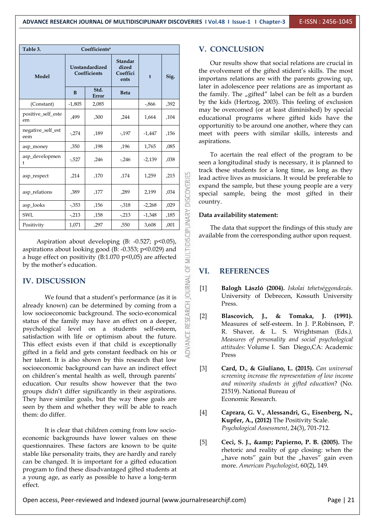| Table 3.<br>Coefficients <sup>a</sup>                                                                                                                                                                        |          |                                |                                                 |          | <b>V. CONCLUSION</b>                                                                                               |                                                                                                                                                                          |  |  |  |  |
|--------------------------------------------------------------------------------------------------------------------------------------------------------------------------------------------------------------|----------|--------------------------------|-------------------------------------------------|----------|--------------------------------------------------------------------------------------------------------------------|--------------------------------------------------------------------------------------------------------------------------------------------------------------------------|--|--|--|--|
| Model                                                                                                                                                                                                        |          | Unstandardized<br>Coefficients | Standar<br>dized<br>Coeffici<br>ents            | t        | Sig.                                                                                                               | Our results show that social relations are crucial in<br>the evolvement of the gifted stident's skills. The most<br>importans relations are with the parents growing up, |  |  |  |  |
|                                                                                                                                                                                                              | B        | Std.<br><b>Error</b>           | <b>Beta</b>                                     |          |                                                                                                                    | later in adolescence peer relations are as important as<br>the family. The "gifted" label can be felt as a burden                                                        |  |  |  |  |
| (Constant)                                                                                                                                                                                                   | $-1,805$ | 2,085                          |                                                 | $-0.866$ | ,392                                                                                                               | by the kids (Hertzog, 2003). This feeling of exclusion                                                                                                                   |  |  |  |  |
| positive_self_este<br>em                                                                                                                                                                                     | ,499     | ,300                           | ,244                                            | 1,664    | ,104                                                                                                               | may be overcomed (or at least diminished) by special<br>educational programs where gifted kids have the                                                                  |  |  |  |  |
| negative_self_est<br>eem                                                                                                                                                                                     | $-274$   | ,189                           | $-197$                                          | $-1,447$ | ,156                                                                                                               | opportunitiy to be around one another, where they can<br>meet with peers with similar skills, interests and<br>aspirations.                                              |  |  |  |  |
| asp_money                                                                                                                                                                                                    | ,350     | ,198                           | ,196                                            | 1,765    | ,085                                                                                                               | To acertain the real effect of the program to be<br>seen a longitudinal study is necessary, it is planned to                                                             |  |  |  |  |
| asp_developmen                                                                                                                                                                                               | $-527$   | ,246                           | $-246$                                          | $-2,139$ | ,038                                                                                                               |                                                                                                                                                                          |  |  |  |  |
| asp_respect                                                                                                                                                                                                  | ,214     | ,170                           | ,174                                            | 1,259    | ,215                                                                                                               | track these students for a long time, as long as they<br>lead active lives as musicians. It would be preferable to                                                       |  |  |  |  |
| asp_relations                                                                                                                                                                                                | ,389     | ,177                           | ,289                                            | 2,199    | ,034                                                                                                               | <b>DISCOVERIES</b><br>expand the sample, but these young people are a very<br>special sample, being the most gifted in their                                             |  |  |  |  |
| asp_looks                                                                                                                                                                                                    | $-0.353$ | ,156                           | $-0.318$                                        | $-2,268$ | ,029                                                                                                               | country.                                                                                                                                                                 |  |  |  |  |
| SWL                                                                                                                                                                                                          | $-213$   | ,158                           | $-213$                                          | $-1,348$ | ,185                                                                                                               | Data availability statement:                                                                                                                                             |  |  |  |  |
| Positivity                                                                                                                                                                                                   | 1,071    | ,297                           | ,550                                            | 3,608    | ,001                                                                                                               | PLINARY<br>The data that support the findings of this study are                                                                                                          |  |  |  |  |
| Aspiration about developing (B: -0.527; $p<0.05$ ),<br>aspirations about looking good (B: -0.353; p<0.029) and<br>a huge effect on positivity (B:1.070 $p<0.05$ ) are affected<br>by the mother's education. |          |                                |                                                 |          | available from the corresponding author upon request.<br>MULTIDIS                                                  |                                                                                                                                                                          |  |  |  |  |
|                                                                                                                                                                                                              |          |                                |                                                 |          |                                                                                                                    | ö<br><b>REFERENCES</b><br>VI.                                                                                                                                            |  |  |  |  |
| <b>IV. DISCUSSION</b><br>already known) can be determined by coming from a                                                                                                                                   |          |                                | We found that a student's performance (as it is |          |                                                                                                                    | RESEARCH JOURNAL<br>$[1]$<br>Balogh László (2004). Iskolai tehetséggondozás.<br>University of Debrecen, Kossuth University<br>Press.                                     |  |  |  |  |
| low socioeconomic background. The socio-economical<br>status of the family may have an effect on a deeper,<br>peychological lovel on a students solf-osteom                                                  |          |                                |                                                 |          | $[2]$<br>Tomaka, J. (1991).<br>Blascovich,<br>$\mathbf{I}$ .<br>&<br>Measures of self-esteem. In J. P.Robinson, P. |                                                                                                                                                                          |  |  |  |  |

### **IV. DISCUSSION**

We found that a student's performance (as it is already known) can be determined by coming from a low socioeconomic background. The socio-economical  $\frac{a}{\alpha}$  [2] status of the family may have an effect on a deeper, psychological level on a students self-esteem, satisfaction with life or optimism about the future. This effect exists even if that child is exceptionally gifted in a field and gets constant feedback on his or her talent. It is also shown by this research that low socioeconomic background can have an indirect effect [3] on children's mental health as well, through parents' education. Our results show however that the two groups didn't differ significantly in their aspirations. They have similar goals, but the way these goals are seen by them and whether they will be able to reach [4] them: do differ.

It is clear that children coming from low socio economic backgrounds have lower values on these questionnaires. These factors are known to be quite stable like personality traits, they are hardly and rarely can be changed.It is important for a gifted education program to find these disadvantaged gifted students at a young age, as early as possible to have a long-term effect.

#### **V. CONCLUSION**

#### **VI. REFERENCES**

- [1] **Balogh László (2004).** *Iskolai tehetséggondozás*. University of Debrecen, Kossuth University Press.
- [2] **Blascovich, J., & Tomaka, J. (1991).** Measures of self-esteem. In J. P.Robinson, P. R. Shaver, & L. S. Wrightsman (Eds*.), Measures of personality and social psychological attitudes*: Volume I. San Diego,CA: Academic Press
- [3] **Card, D., & Giuliano, L. (2015).** *Can universal screening increase the representation of low income and minority students in gifted education*? (No. 21519). National Bureau of Economic Research.
- [4] **Caprara, G. V., Alessandri, G., Eisenberg, N., Kupfer, A., (2012)** The Positivity Scale. *Psychological Assessment*, 24(3), 701-712.
- [5] **Ceci, S. J., & Papierno, P. B. (2005).** The rhetoric and reality of gap closing: when the "have nots" gain but the "haves" gain even more. *American Psychologist*, 60(2), 149.